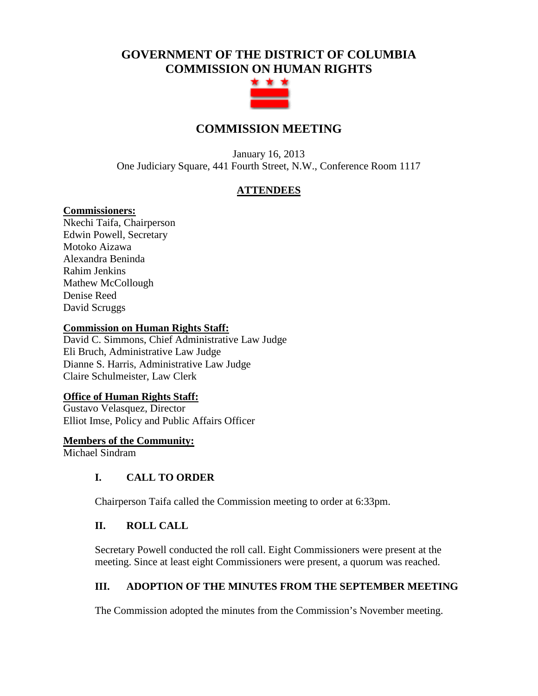# **GOVERNMENT OF THE DISTRICT OF COLUMBIA COMMISSION ON HUMAN RIGHTS**



# **COMMISSION MEETING**

January 16, 2013 One Judiciary Square, 441 Fourth Street, N.W., Conference Room 1117

# **ATTENDEES**

# **Commissioners:**

Nkechi Taifa, Chairperson Edwin Powell, Secretary Motoko Aizawa Alexandra Beninda Rahim Jenkins Mathew McCollough Denise Reed David Scruggs

#### **Commission on Human Rights Staff:**

David C. Simmons, Chief Administrative Law Judge Eli Bruch, Administrative Law Judge Dianne S. Harris, Administrative Law Judge Claire Schulmeister, Law Clerk

# **Office of Human Rights Staff:**

Gustavo Velasquez, Director Elliot Imse, Policy and Public Affairs Officer

#### **Members of the Community:**

Michael Sindram

# **I. CALL TO ORDER**

Chairperson Taifa called the Commission meeting to order at 6:33pm.

# **II. ROLL CALL**

Secretary Powell conducted the roll call. Eight Commissioners were present at the meeting. Since at least eight Commissioners were present, a quorum was reached.

# **III. ADOPTION OF THE MINUTES FROM THE SEPTEMBER MEETING**

The Commission adopted the minutes from the Commission's November meeting.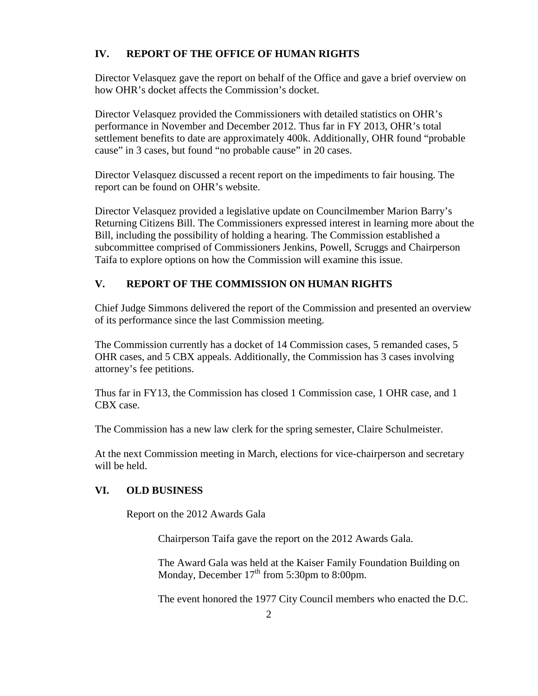# **IV. REPORT OF THE OFFICE OF HUMAN RIGHTS**

Director Velasquez gave the report on behalf of the Office and gave a brief overview on how OHR's docket affects the Commission's docket.

Director Velasquez provided the Commissioners with detailed statistics on OHR's performance in November and December 2012. Thus far in FY 2013, OHR's total settlement benefits to date are approximately 400k. Additionally, OHR found "probable cause" in 3 cases, but found "no probable cause" in 20 cases.

Director Velasquez discussed a recent report on the impediments to fair housing. The report can be found on OHR's website.

Director Velasquez provided a legislative update on Councilmember Marion Barry's Returning Citizens Bill. The Commissioners expressed interest in learning more about the Bill, including the possibility of holding a hearing. The Commission established a subcommittee comprised of Commissioners Jenkins, Powell, Scruggs and Chairperson Taifa to explore options on how the Commission will examine this issue.

# **V. REPORT OF THE COMMISSION ON HUMAN RIGHTS**

Chief Judge Simmons delivered the report of the Commission and presented an overview of its performance since the last Commission meeting.

The Commission currently has a docket of 14 Commission cases, 5 remanded cases, 5 OHR cases, and 5 CBX appeals. Additionally, the Commission has 3 cases involving attorney's fee petitions.

Thus far in FY13, the Commission has closed 1 Commission case, 1 OHR case, and 1 CBX case.

The Commission has a new law clerk for the spring semester, Claire Schulmeister.

At the next Commission meeting in March, elections for vice-chairperson and secretary will be held.

# **VI. OLD BUSINESS**

Report on the 2012 Awards Gala

Chairperson Taifa gave the report on the 2012 Awards Gala.

The Award Gala was held at the Kaiser Family Foundation Building on Monday, December 17<sup>th</sup> from 5:30pm to 8:00pm.

The event honored the 1977 City Council members who enacted the D.C.